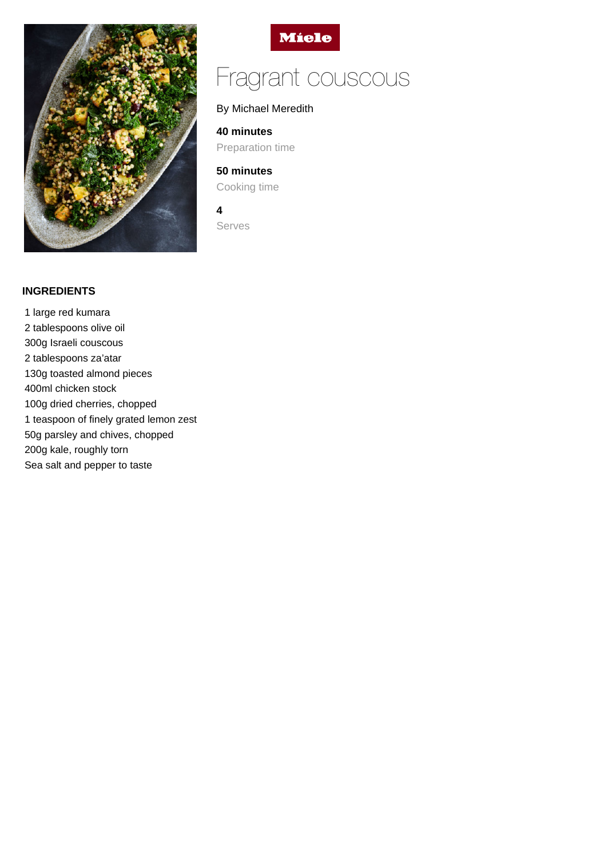



# Fragrant couscous

# By Michael Meredith

**40 minutes**

Preparation time

**50 minutes** Cooking time

**4**

Serves

## **INGREDIENTS**

1 large red kumara 2 tablespoons olive oil 300g Israeli couscous 2 tablespoons za'atar 130g toasted almond pieces 400ml chicken stock 100g dried cherries, chopped 1 teaspoon of finely grated lemon zest 50g parsley and chives, chopped 200g kale, roughly torn Sea salt and pepper to taste